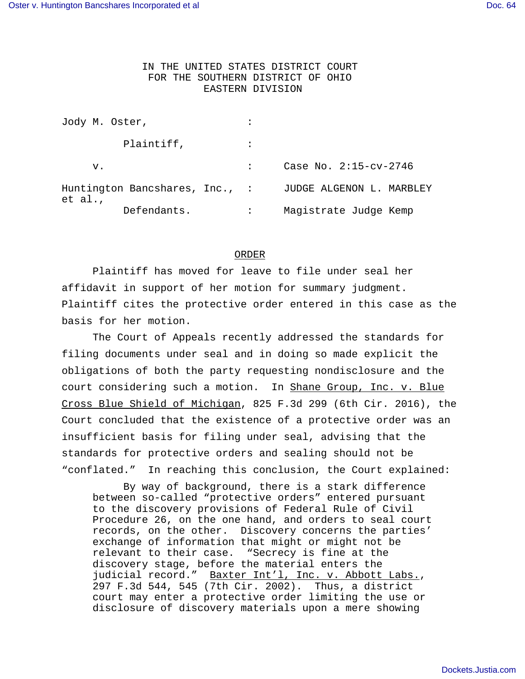## IN THE UNITED STATES DISTRICT COURT FOR THE SOUTHERN DISTRICT OF OHIO EASTERN DIVISION

| Jody M. Oster,                            |                          |
|-------------------------------------------|--------------------------|
| Plaintiff,                                |                          |
| v.                                        | Case No. $2:15-cv-2746$  |
| Huntington Bancshares, Inc., :<br>et al., | JUDGE ALGENON L. MARBLEY |
| Defendants.                               | Magistrate Judge Kemp    |

## ORDER

Plaintiff has moved for leave to file under seal her affidavit in support of her motion for summary judgment. Plaintiff cites the protective order entered in this case as the basis for her motion.

The Court of Appeals recently addressed the standards for filing documents under seal and in doing so made explicit the obligations of both the party requesting nondisclosure and the court considering such a motion. In Shane Group, Inc. v. Blue Cross Blue Shield of Michigan, 825 F.3d 299 (6th Cir. 2016), the Court concluded that the existence of a protective order was an insufficient basis for filing under seal, advising that the standards for protective orders and sealing should not be "conflated." In reaching this conclusion, the Court explained:

By way of background, there is a stark difference between so-called "protective orders" entered pursuant to the discovery provisions of Federal Rule of Civil Procedure 26, on the one hand, and orders to seal court records, on the other. Discovery concerns the parties' exchange of information that might or might not be relevant to their case. "Secrecy is fine at the discovery stage, before the material enters the judicial record." Baxter Int'l, Inc. v. Abbott Labs., 297 F.3d 544, 545 (7th Cir. 2002). Thus, a district court may enter a protective order limiting the use or disclosure of discovery materials upon a mere showing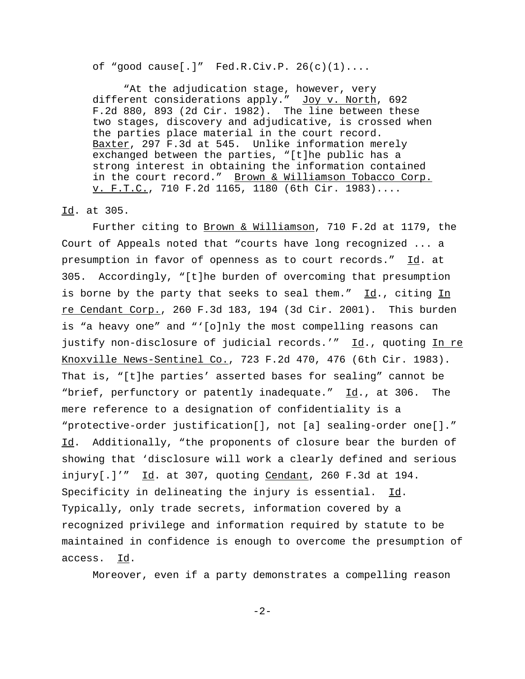of "good cause[.]"  $Fed.R.Civ.P. 26(c)(1)...$ 

"At the adjudication stage, however, very different considerations apply." Joy v. North, 692 F.2d 880, 893 (2d Cir. 1982). The line between these two stages, discovery and adjudicative, is crossed when the parties place material in the court record. Baxter, 297 F.3d at 545. Unlike information merely exchanged between the parties, "[t]he public has a strong interest in obtaining the information contained in the court record." Brown & Williamson Tobacco Corp. v. F.T.C., 710 F.2d 1165, 1180 (6th Cir. 1983)....

## Id. at 305.

Further citing to Brown & Williamson, 710 F.2d at 1179, the Court of Appeals noted that "courts have long recognized ... a presumption in favor of openness as to court records." Id. at 305. Accordingly, "[t]he burden of overcoming that presumption is borne by the party that seeks to seal them." Id., citing In re Cendant Corp., 260 F.3d 183, 194 (3d Cir. 2001). This burden is "a heavy one" and "'[o]nly the most compelling reasons can justify non-disclosure of judicial records.'" Id., quoting In re Knoxville News-Sentinel Co., 723 F.2d 470, 476 (6th Cir. 1983). That is, "[t]he parties' asserted bases for sealing" cannot be "brief, perfunctory or patently inadequate." Id., at 306. The mere reference to a designation of confidentiality is a "protective-order justification[], not [a] sealing-order one[]." Id. Additionally, "the proponents of closure bear the burden of showing that 'disclosure will work a clearly defined and serious  $injury[.]$ '"  $Id.$  at 307, quoting Cendant, 260 F.3d at 194. Specificity in delineating the injury is essential. Id. Typically, only trade secrets, information covered by a recognized privilege and information required by statute to be maintained in confidence is enough to overcome the presumption of access. Id.

Moreover, even if a party demonstrates a compelling reason

-2-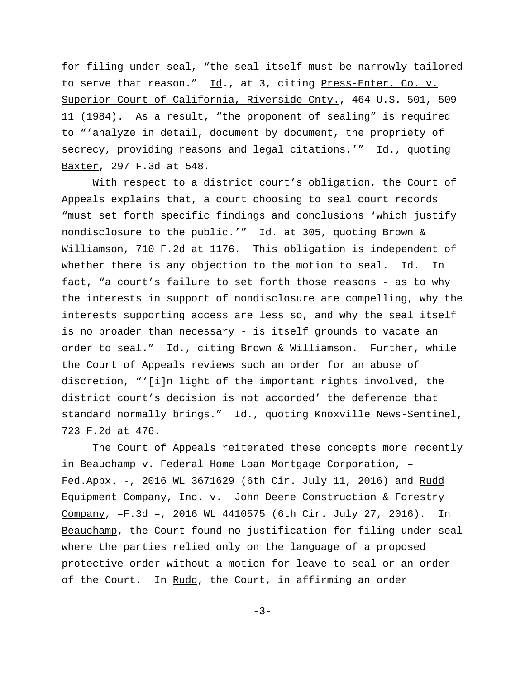for filing under seal, "the seal itself must be narrowly tailored to serve that reason." Id., at 3, citing Press-Enter. Co. v. Superior Court of California, Riverside Cnty., 464 U.S. 501, 509- 11 (1984). As a result, "the proponent of sealing" is required to "'analyze in detail, document by document, the propriety of secrecy, providing reasons and legal citations.'"  $\underline{Id}$ ., quoting Baxter, 297 F.3d at 548.

With respect to a district court's obligation, the Court of Appeals explains that, a court choosing to seal court records "must set forth specific findings and conclusions 'which justify nondisclosure to the public.'" Id. at 305, quoting Brown & Williamson, 710 F.2d at 1176. This obligation is independent of whether there is any objection to the motion to seal.  $Id.$  In fact, "a court's failure to set forth those reasons - as to why the interests in support of nondisclosure are compelling, why the interests supporting access are less so, and why the seal itself is no broader than necessary - is itself grounds to vacate an order to seal." Id., citing Brown & Williamson. Further, while the Court of Appeals reviews such an order for an abuse of discretion, "'[i]n light of the important rights involved, the district court's decision is not accorded' the deference that standard normally brings." Id., quoting Knoxville News-Sentinel, 723 F.2d at 476.

The Court of Appeals reiterated these concepts more recently in Beauchamp v. Federal Home Loan Mortgage Corporation, – Fed.Appx. -, 2016 WL 3671629 (6th Cir. July 11, 2016) and Rudd Equipment Company, Inc. v. John Deere Construction & Forestry Company, –F.3d –, 2016 WL 4410575 (6th Cir. July 27, 2016). In Beauchamp, the Court found no justification for filing under seal where the parties relied only on the language of a proposed protective order without a motion for leave to seal or an order of the Court. In Rudd, the Court, in affirming an order

 $-3-$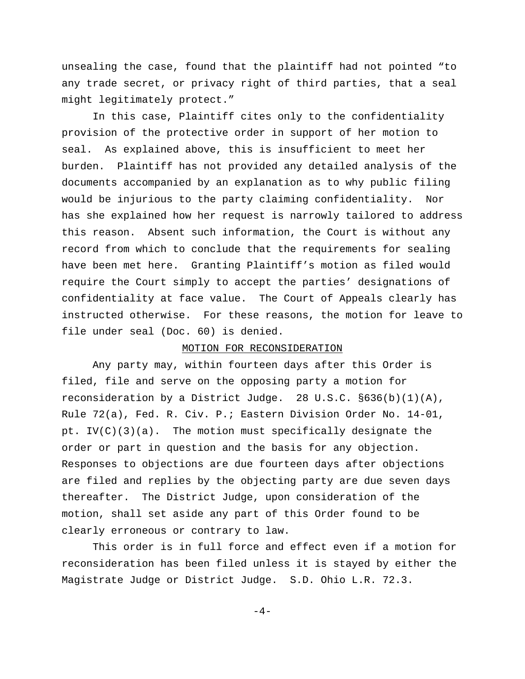unsealing the case, found that the plaintiff had not pointed "to any trade secret, or privacy right of third parties, that a seal might legitimately protect."

In this case, Plaintiff cites only to the confidentiality provision of the protective order in support of her motion to seal. As explained above, this is insufficient to meet her burden. Plaintiff has not provided any detailed analysis of the documents accompanied by an explanation as to why public filing would be injurious to the party claiming confidentiality. Nor has she explained how her request is narrowly tailored to address this reason. Absent such information, the Court is without any record from which to conclude that the requirements for sealing have been met here. Granting Plaintiff's motion as filed would require the Court simply to accept the parties' designations of confidentiality at face value. The Court of Appeals clearly has instructed otherwise. For these reasons, the motion for leave to file under seal (Doc. 60) is denied.

## MOTION FOR RECONSIDERATION

Any party may, within fourteen days after this Order is filed, file and serve on the opposing party a motion for reconsideration by a District Judge. 28 U.S.C.  $\S 636(b)(1)(A)$ , Rule 72(a), Fed. R. Civ. P.; Eastern Division Order No. 14-01, pt. IV(C)(3)(a). The motion must specifically designate the order or part in question and the basis for any objection. Responses to objections are due fourteen days after objections are filed and replies by the objecting party are due seven days thereafter. The District Judge, upon consideration of the motion, shall set aside any part of this Order found to be clearly erroneous or contrary to law.

 This order is in full force and effect even if a motion for reconsideration has been filed unless it is stayed by either the Magistrate Judge or District Judge. S.D. Ohio L.R. 72.3.

 $-4-$